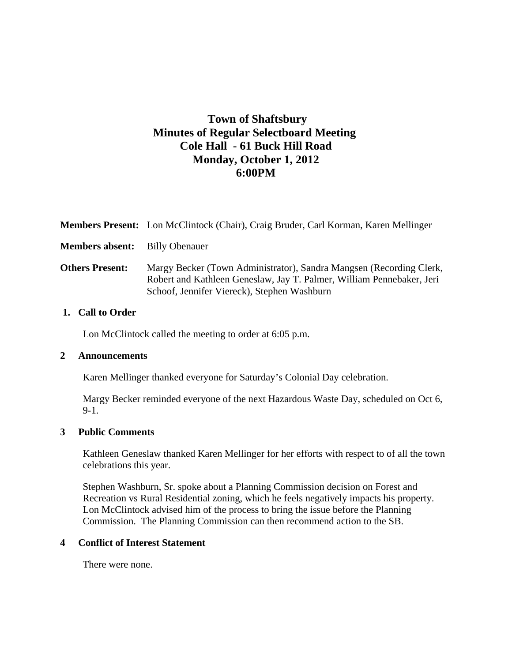# **Town of Shaftsbury Minutes of Regular Selectboard Meeting Cole Hall - 61 Buck Hill Road Monday, October 1, 2012 6:00PM**

|                        | Members Present: Lon McClintock (Chair), Craig Bruder, Carl Korman, Karen Mellinger                                                                                                         |
|------------------------|---------------------------------------------------------------------------------------------------------------------------------------------------------------------------------------------|
| <b>Members absent:</b> | <b>Billy Obenauer</b>                                                                                                                                                                       |
| <b>Others Present:</b> | Margy Becker (Town Administrator), Sandra Mangsen (Recording Clerk,<br>Robert and Kathleen Geneslaw, Jay T. Palmer, William Pennebaker, Jeri<br>Schoof, Jennifer Viereck), Stephen Washburn |
| $\Gamma$ all to Andon  |                                                                                                                                                                                             |

### **1. Call to Order**

Lon McClintock called the meeting to order at 6:05 p.m.

#### **2 Announcements**

Karen Mellinger thanked everyone for Saturday's Colonial Day celebration.

Margy Becker reminded everyone of the next Hazardous Waste Day, scheduled on Oct 6, 9-1.

### **3 Public Comments**

Kathleen Geneslaw thanked Karen Mellinger for her efforts with respect to of all the town celebrations this year.

Stephen Washburn, Sr. spoke about a Planning Commission decision on Forest and Recreation vs Rural Residential zoning, which he feels negatively impacts his property. Lon McClintock advised him of the process to bring the issue before the Planning Commission. The Planning Commission can then recommend action to the SB.

# **4 Conflict of Interest Statement**

There were none.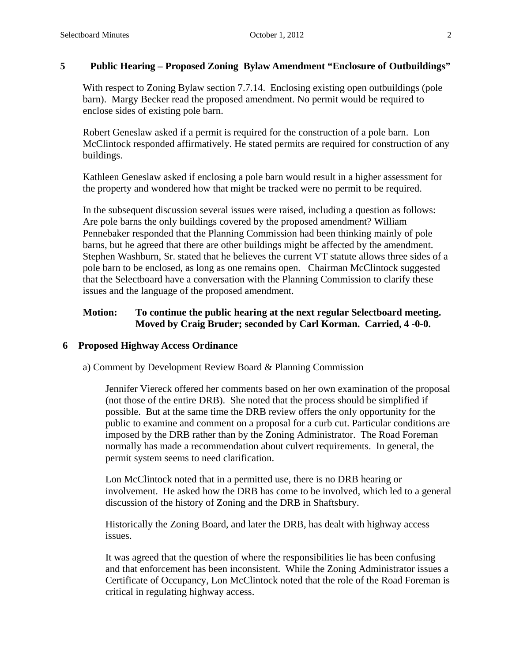### **5 Public Hearing – Proposed Zoning Bylaw Amendment "Enclosure of Outbuildings"**

With respect to Zoning Bylaw section 7.7.14. Enclosing existing open outbuildings (pole barn). Margy Becker read the proposed amendment. No permit would be required to enclose sides of existing pole barn.

Robert Geneslaw asked if a permit is required for the construction of a pole barn. Lon McClintock responded affirmatively. He stated permits are required for construction of any buildings.

Kathleen Geneslaw asked if enclosing a pole barn would result in a higher assessment for the property and wondered how that might be tracked were no permit to be required.

In the subsequent discussion several issues were raised, including a question as follows: Are pole barns the only buildings covered by the proposed amendment? William Pennebaker responded that the Planning Commission had been thinking mainly of pole barns, but he agreed that there are other buildings might be affected by the amendment. Stephen Washburn, Sr. stated that he believes the current VT statute allows three sides of a pole barn to be enclosed, as long as one remains open. Chairman McClintock suggested that the Selectboard have a conversation with the Planning Commission to clarify these issues and the language of the proposed amendment.

# **Motion: To continue the public hearing at the next regular Selectboard meeting. Moved by Craig Bruder; seconded by Carl Korman. Carried, 4 -0-0.**

### **6 Proposed Highway Access Ordinance**

a) Comment by Development Review Board & Planning Commission

Jennifer Viereck offered her comments based on her own examination of the proposal (not those of the entire DRB). She noted that the process should be simplified if possible. But at the same time the DRB review offers the only opportunity for the public to examine and comment on a proposal for a curb cut. Particular conditions are imposed by the DRB rather than by the Zoning Administrator. The Road Foreman normally has made a recommendation about culvert requirements. In general, the permit system seems to need clarification.

Lon McClintock noted that in a permitted use, there is no DRB hearing or involvement. He asked how the DRB has come to be involved, which led to a general discussion of the history of Zoning and the DRB in Shaftsbury.

Historically the Zoning Board, and later the DRB, has dealt with highway access issues.

It was agreed that the question of where the responsibilities lie has been confusing and that enforcement has been inconsistent. While the Zoning Administrator issues a Certificate of Occupancy, Lon McClintock noted that the role of the Road Foreman is critical in regulating highway access.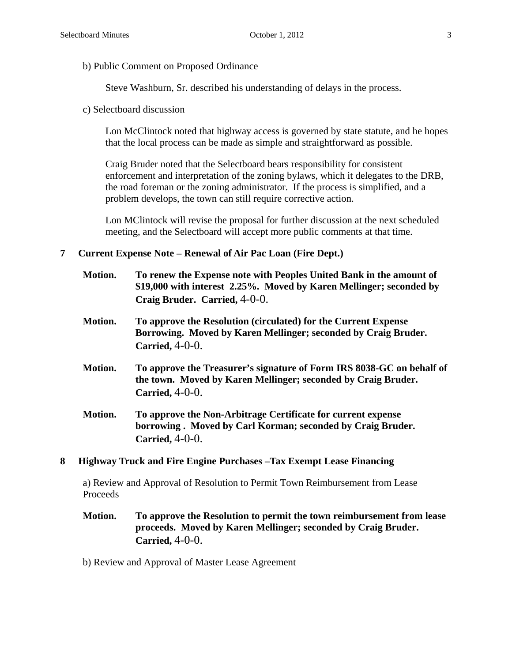b) Public Comment on Proposed Ordinance

Steve Washburn, Sr. described his understanding of delays in the process.

c) Selectboard discussion

Lon McClintock noted that highway access is governed by state statute, and he hopes that the local process can be made as simple and straightforward as possible.

Craig Bruder noted that the Selectboard bears responsibility for consistent enforcement and interpretation of the zoning bylaws, which it delegates to the DRB, the road foreman or the zoning administrator. If the process is simplified, and a problem develops, the town can still require corrective action.

Lon MClintock will revise the proposal for further discussion at the next scheduled meeting, and the Selectboard will accept more public comments at that time.

### **7 Current Expense Note – Renewal of Air Pac Loan (Fire Dept.)**

| Motion. | To renew the Expense note with Peoples United Bank in the amount of<br>\$19,000 with interest 2.25%. Moved by Karen Mellinger; seconded by<br>Craig Bruder. Carried, 4-0-0. |
|---------|-----------------------------------------------------------------------------------------------------------------------------------------------------------------------------|
| Motion. | To approve the Resolution (circulated) for the Current Expense<br>Borrowing. Moved by Karen Mellinger; seconded by Craig Bruder.<br>Carried, $4-0-0$ .                      |
| Motion. | To approve the Treasurer's signature of Form IRS 8038-GC on behalf of<br>the town. Moved by Karen Mellinger; seconded by Craig Bruder.<br>Carried, $4-0-0$ .                |
| Motion. | To approve the Non-Arbitrage Certificate for current expense<br>borrowing. Moved by Carl Korman; seconded by Craig Bruder.<br>Carried, $4-0-0$ .                            |

#### **8 Highway Truck and Fire Engine Purchases –Tax Exempt Lease Financing**

a) Review and Approval of Resolution to Permit Town Reimbursement from Lease Proceeds

- **Motion. To approve the Resolution to permit the town reimbursement from lease proceeds. Moved by Karen Mellinger; seconded by Craig Bruder. Carried,** 4-0-0.
- b) Review and Approval of Master Lease Agreement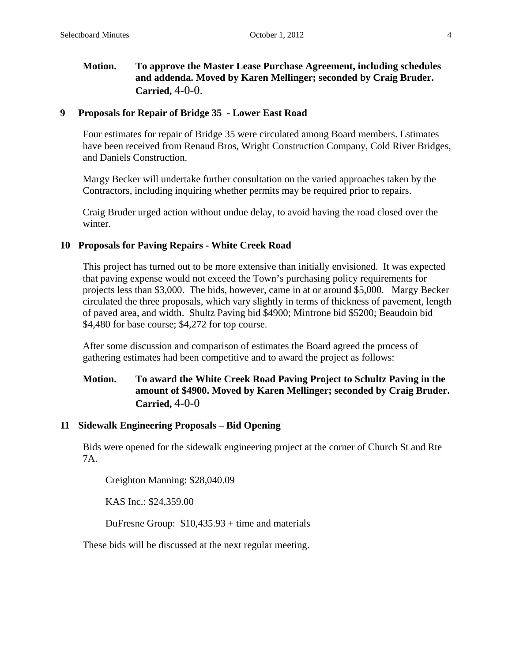# **Motion. To approve the Master Lease Purchase Agreement, including schedules and addenda. Moved by Karen Mellinger; seconded by Craig Bruder. Carried,** 4-0-0.

### **9 Proposals for Repair of Bridge 35 - Lower East Road**

Four estimates for repair of Bridge 35 were circulated among Board members. Estimates have been received from Renaud Bros, Wright Construction Company, Cold River Bridges, and Daniels Construction.

Margy Becker will undertake further consultation on the varied approaches taken by the Contractors, including inquiring whether permits may be required prior to repairs.

Craig Bruder urged action without undue delay, to avoid having the road closed over the winter.

### **10 Proposals for Paving Repairs - White Creek Road**

This project has turned out to be more extensive than initially envisioned. It was expected that paving expense would not exceed the Town's purchasing policy requirements for projects less than \$3,000. The bids, however, came in at or around \$5,000. Margy Becker circulated the three proposals, which vary slightly in terms of thickness of pavement, length of paved area, and width. Shultz Paving bid \$4900; Mintrone bid \$5200; Beaudoin bid \$4,480 for base course; \$4,272 for top course.

After some discussion and comparison of estimates the Board agreed the process of gathering estimates had been competitive and to award the project as follows:

# **Motion. To award the White Creek Road Paving Project to Schultz Paving in the amount of \$4900. Moved by Karen Mellinger; seconded by Craig Bruder. Carried,** 4-0-0

### **11 Sidewalk Engineering Proposals – Bid Opening**

Bids were opened for the sidewalk engineering project at the corner of Church St and Rte 7A.

Creighton Manning: \$28,040.09

KAS Inc.: \$24,359.00

DuFresne Group: \$10,435.93 + time and materials

These bids will be discussed at the next regular meeting.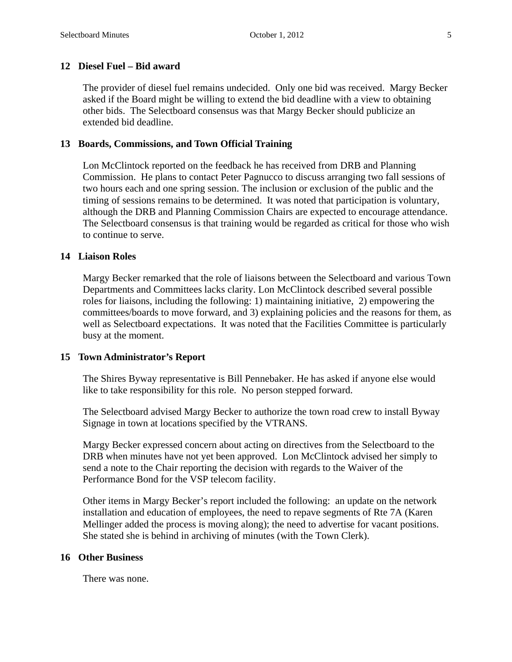### **12 Diesel Fuel – Bid award**

The provider of diesel fuel remains undecided. Only one bid was received. Margy Becker asked if the Board might be willing to extend the bid deadline with a view to obtaining other bids. The Selectboard consensus was that Margy Becker should publicize an extended bid deadline.

#### **13 Boards, Commissions, and Town Official Training**

Lon McClintock reported on the feedback he has received from DRB and Planning Commission. He plans to contact Peter Pagnucco to discuss arranging two fall sessions of two hours each and one spring session. The inclusion or exclusion of the public and the timing of sessions remains to be determined. It was noted that participation is voluntary, although the DRB and Planning Commission Chairs are expected to encourage attendance. The Selectboard consensus is that training would be regarded as critical for those who wish to continue to serve.

#### **14 Liaison Roles**

Margy Becker remarked that the role of liaisons between the Selectboard and various Town Departments and Committees lacks clarity. Lon McClintock described several possible roles for liaisons, including the following: 1) maintaining initiative, 2) empowering the committees/boards to move forward, and 3) explaining policies and the reasons for them, as well as Selectboard expectations. It was noted that the Facilities Committee is particularly busy at the moment.

#### **15 Town Administrator's Report**

The Shires Byway representative is Bill Pennebaker. He has asked if anyone else would like to take responsibility for this role. No person stepped forward.

The Selectboard advised Margy Becker to authorize the town road crew to install Byway Signage in town at locations specified by the VTRANS.

Margy Becker expressed concern about acting on directives from the Selectboard to the DRB when minutes have not yet been approved. Lon McClintock advised her simply to send a note to the Chair reporting the decision with regards to the Waiver of the Performance Bond for the VSP telecom facility.

Other items in Margy Becker's report included the following: an update on the network installation and education of employees, the need to repave segments of Rte 7A (Karen Mellinger added the process is moving along); the need to advertise for vacant positions. She stated she is behind in archiving of minutes (with the Town Clerk).

### **16 Other Business**

There was none.